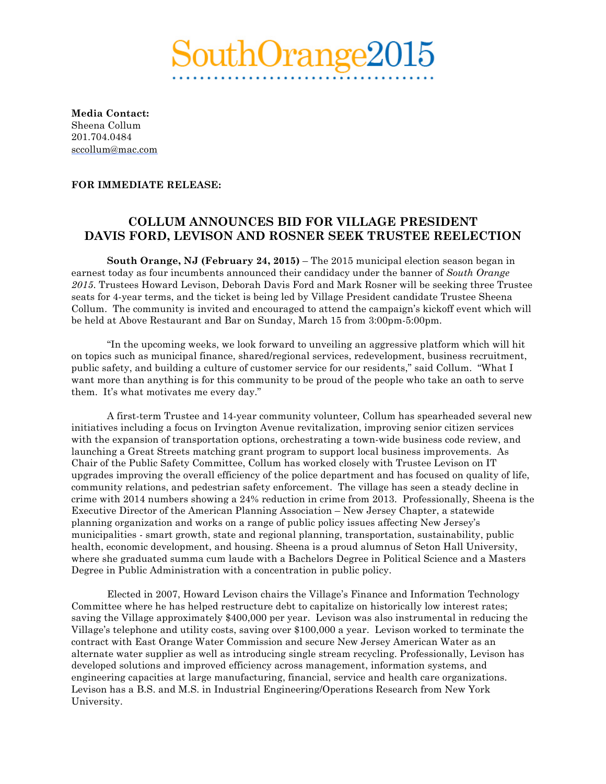## $\rm{withOrang}$

**Media Contact:**  Sheena Collum 201.704.0484 sccollum@mac.com

## **FOR IMMEDIATE RELEASE:**

## **COLLUM ANNOUNCES BID FOR VILLAGE PRESIDENT DAVIS FORD, LEVISON AND ROSNER SEEK TRUSTEE REELECTION**

**South Orange, NJ (February 24, 2015)** – The 2015 municipal election season began in earnest today as four incumbents announced their candidacy under the banner of *South Orange 2015*. Trustees Howard Levison, Deborah Davis Ford and Mark Rosner will be seeking three Trustee seats for 4-year terms, and the ticket is being led by Village President candidate Trustee Sheena Collum. The community is invited and encouraged to attend the campaign's kickoff event which will be held at Above Restaurant and Bar on Sunday, March 15 from 3:00pm-5:00pm.

"In the upcoming weeks, we look forward to unveiling an aggressive platform which will hit on topics such as municipal finance, shared/regional services, redevelopment, business recruitment, public safety, and building a culture of customer service for our residents," said Collum. "What I want more than anything is for this community to be proud of the people who take an oath to serve them. It's what motivates me every day."

A first-term Trustee and 14-year community volunteer, Collum has spearheaded several new initiatives including a focus on Irvington Avenue revitalization, improving senior citizen services with the expansion of transportation options, orchestrating a town-wide business code review, and launching a Great Streets matching grant program to support local business improvements. As Chair of the Public Safety Committee, Collum has worked closely with Trustee Levison on IT upgrades improving the overall efficiency of the police department and has focused on quality of life, community relations, and pedestrian safety enforcement. The village has seen a steady decline in crime with 2014 numbers showing a 24% reduction in crime from 2013. Professionally, Sheena is the Executive Director of the American Planning Association – New Jersey Chapter, a statewide planning organization and works on a range of public policy issues affecting New Jersey's municipalities - smart growth, state and regional planning, transportation, sustainability, public health, economic development, and housing. Sheena is a proud alumnus of Seton Hall University, where she graduated summa cum laude with a Bachelors Degree in Political Science and a Masters Degree in Public Administration with a concentration in public policy.

Elected in 2007, Howard Levison chairs the Village's Finance and Information Technology Committee where he has helped restructure debt to capitalize on historically low interest rates; saving the Village approximately \$400,000 per year. Levison was also instrumental in reducing the Village's telephone and utility costs, saving over \$100,000 a year. Levison worked to terminate the contract with East Orange Water Commission and secure New Jersey American Water as an alternate water supplier as well as introducing single stream recycling. Professionally, Levison has developed solutions and improved efficiency across management, information systems, and engineering capacities at large manufacturing, financial, service and health care organizations. Levison has a B.S. and M.S. in Industrial Engineering/Operations Research from New York University.